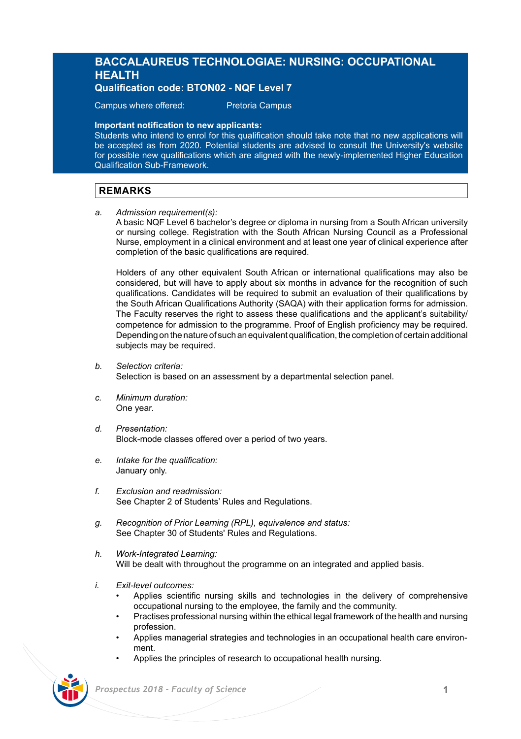# **BACCALAUREUS TECHNOLOGIAE: NURSING: OCCUPATIONAL HEALTH**

**Qualification code: BTON02 - NQF Level 7** 

Campus where offered: Pretoria Campus

## **Important notification to new applicants:**

Students who intend to enrol for this qualification should take note that no new applications will be accepted as from 2020. Potential students are advised to consult the University's website for possible new qualifications which are aligned with the newly-implemented Higher Education Qualification Sub-Framework.

# **REMARKS**

*a. Admission requirement(s):* 

A basic NQF Level 6 bachelor's degree or diploma in nursing from a South African university or nursing college. Registration with the South African Nursing Council as a Professional Nurse, employment in a clinical environment and at least one year of clinical experience after completion of the basic qualifications are required.

Holders of any other equivalent South African or international qualifications may also be considered, but will have to apply about six months in advance for the recognition of such qualifications. Candidates will be required to submit an evaluation of their qualifications by the South African Qualifications Authority (SAQA) with their application forms for admission. The Faculty reserves the right to assess these qualifications and the applicant's suitability/ competence for admission to the programme. Proof of English proficiency may be required. Depending on the nature of such an equivalent qualification, the completion of certain additional subjects may be required.

*b. Selection criteria:*

Selection is based on an assessment by a departmental selection panel.

- *c. Minimum duration:* One year.
- *d. Presentation:*  Block-mode classes offered over a period of two years.
- *e. Intake for the qualification:* January only.
- *f. Exclusion and readmission:* See Chapter 2 of Students' Rules and Regulations.
- *g. Recognition of Prior Learning (RPL), equivalence and status:* See Chapter 30 of Students' Rules and Regulations.
- *h. Work-Integrated Learning:* Will be dealt with throughout the programme on an integrated and applied basis.
- *i. Exit-level outcomes:*
	- Applies scientific nursing skills and technologies in the delivery of comprehensive occupational nursing to the employee, the family and the community.
	- Practises professional nursing within the ethical legal framework of the health and nursing profession.
	- Applies managerial strategies and technologies in an occupational health care environment.
	- Applies the principles of research to occupational health nursing.



 *Prospectus 2018 - Faculty of Science* **1**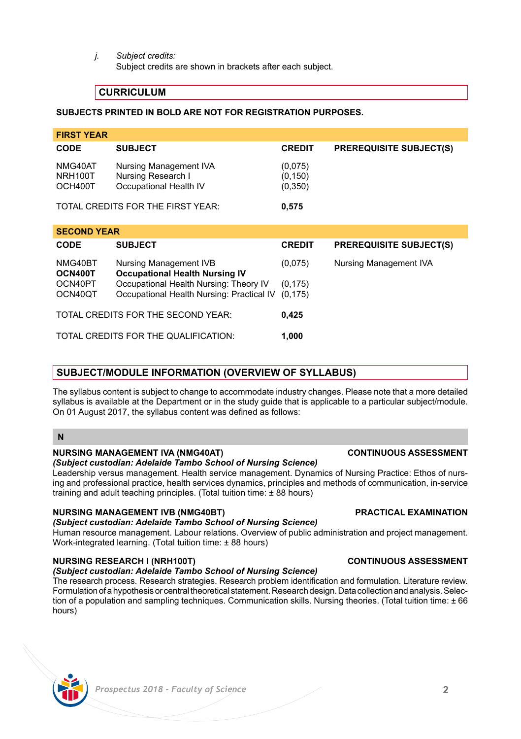*j. Subject credits:*

Subject credits are shown in brackets after each subject.

# **CURRICULUM**

## **SUBJECTS PRINTED IN BOLD ARE NOT FOR REGISTRATION PURPOSES.**

| <b>FIRST YEAR</b>                             |                                                                                     |                                 |                                |
|-----------------------------------------------|-------------------------------------------------------------------------------------|---------------------------------|--------------------------------|
| <b>CODE</b>                                   | <b>SUBJECT</b>                                                                      | <b>CREDIT</b>                   | <b>PREREQUISITE SUBJECT(S)</b> |
| NMG40AT<br>NRH100T<br>OCH400T                 | Nursing Management IVA<br>Nursing Research I<br>Occupational Health IV              | (0,075)<br>(0, 150)<br>(0, 350) |                                |
|                                               | TOTAL CREDITS FOR THE FIRST YEAR:                                                   | 0,575                           |                                |
| <b>SECOND YEAR</b>                            |                                                                                     |                                 |                                |
| <b>CODE</b>                                   | <b>SUBJECT</b>                                                                      | <b>CREDIT</b>                   | <b>PREREQUISITE SUBJECT(S)</b> |
| NMG40BT<br>OCN400T                            | Nursing Management IVB<br><b>Occupational Health Nursing IV</b>                     | (0.075)                         | Nursing Management IVA         |
| OCN40PT<br>OCN40QT                            | Occupational Health Nursing: Theory IV<br>Occupational Health Nursing: Practical IV | (0, 175)<br>(0, 175)            |                                |
| TOTAL CREDITS FOR THE SECOND YEAR:<br>0,425   |                                                                                     |                                 |                                |
| TOTAL CREDITS FOR THE QUALIFICATION:<br>1.000 |                                                                                     |                                 |                                |

# **SUBJECT/MODULE INFORMATION (OVERVIEW OF SYLLABUS)**

The syllabus content is subject to change to accommodate industry changes. Please note that a more detailed syllabus is available at the Department or in the study guide that is applicable to a particular subject/module. On 01 August 2017, the syllabus content was defined as follows:

# **N**

## **NURSING MANAGEMENT IVA (NMG40AT) CONTINUOUS ASSESSMENT**

## *(Subject custodian: Adelaide Tambo School of Nursing Science)*

Leadership versus management. Health service management. Dynamics of Nursing Practice: Ethos of nursing and professional practice, health services dynamics, principles and methods of communication, in-service training and adult teaching principles. (Total tuition time: ± 88 hours)

## **NURSING MANAGEMENT IVB (NMG40BT) PRACTICAL EXAMINATION**

### *(Subject custodian: Adelaide Tambo School of Nursing Science)*

Human resource management. Labour relations. Overview of public administration and project management. Work-integrated learning. (Total tuition time: ± 88 hours)

# **NURSING RESEARCH I (NRH100T) CONTINUOUS ASSESSMENT**

*(Subject custodian: Adelaide Tambo School of Nursing Science)*

The research process. Research strategies. Research problem identification and formulation. Literature review. Formulation of a hypothesis or central theoretical statement. Research design. Data collection and analysis. Selection of a population and sampling techniques. Communication skills. Nursing theories. (Total tuition time: ± 66 hours)